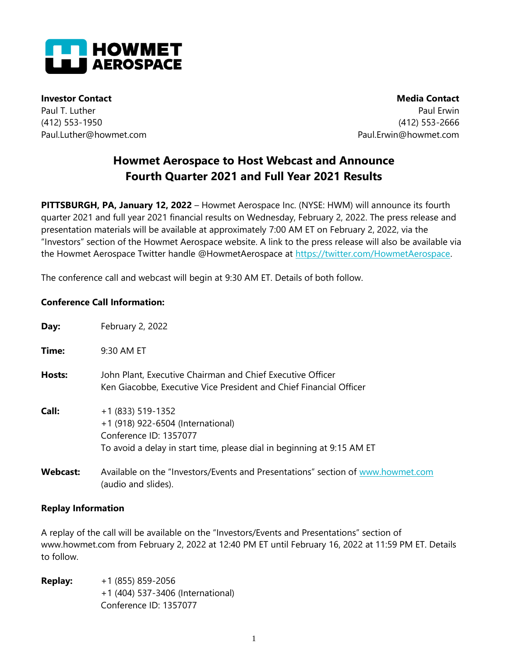

**Investor Contact Media Contact** Paul T. Luther **Paul Erwin** Paul Erwin Paul Erwin Paul Erwin Paul Erwin Paul Erwin Paul Erwin Paul Erwin Paul Erwin (412) 553-1950 (412) 553-2666 Paul.Luther@howmet.com Paul.Erwin@howmet.com

# **Howmet Aerospace to Host Webcast and Announce Fourth Quarter 2021 and Full Year 2021 Results**

**PITTSBURGH, PA, January 12, 2022** – Howmet Aerospace Inc. (NYSE: HWM) will announce its fourth quarter 2021 and full year 2021 financial results on Wednesday, February 2, 2022. The press release and presentation materials will be available at approximately 7:00 AM ET on February 2, 2022, via the "Investors" section of the Howmet Aerospace website. A link to the press release will also be available via the Howmet Aerospace Twitter handle @HowmetAerospace at [https://twitter.com/HowmetAerospace.](https://twitter.com/HowmetAerospace)

The conference call and webcast will begin at 9:30 AM ET. Details of both follow.

## **Conference Call Information:**

| Day:            | February 2, 2022                                                                                                                                           |
|-----------------|------------------------------------------------------------------------------------------------------------------------------------------------------------|
| Time:           | 9:30 AM ET                                                                                                                                                 |
| Hosts:          | John Plant, Executive Chairman and Chief Executive Officer<br>Ken Giacobbe, Executive Vice President and Chief Financial Officer                           |
| Call:           | +1 (833) 519-1352<br>+1 (918) 922-6504 (International)<br>Conference ID: 1357077<br>To avoid a delay in start time, please dial in beginning at 9:15 AM ET |
| <b>Webcast:</b> | Available on the "Investors/Events and Presentations" section of www.howmet.com<br>(audio and slides).                                                     |

### **Replay Information**

A replay of the call will be available on the "Investors/Events and Presentations" section of www.howmet.com from February 2, 2022 at 12:40 PM ET until February 16, 2022 at 11:59 PM ET. Details to follow.

**Replay:** +1 (855) 859-2056 +1 (404) 537-3406 (International) Conference ID: 1357077